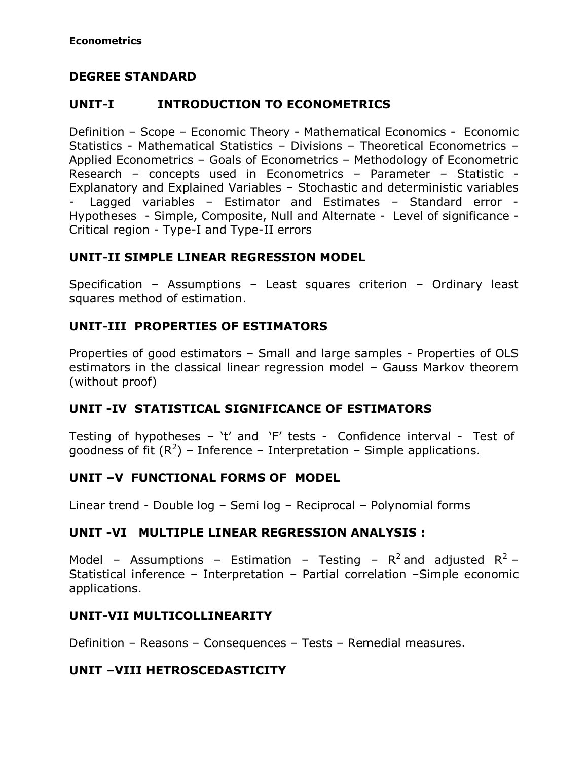### **DEGREE STANDARD**

## **UNIT-I INTRODUCTION TO ECONOMETRICS**

Definition – Scope – Economic Theory - Mathematical Economics - Economic Statistics - Mathematical Statistics – Divisions – Theoretical Econometrics – Applied Econometrics – Goals of Econometrics – Methodology of Econometric Research – concepts used in Econometrics – Parameter – Statistic - Explanatory and Explained Variables – Stochastic and deterministic variables Lagged variables - Estimator and Estimates - Standard error -Hypotheses - Simple, Composite, Null and Alternate - Level of significance - Critical region - Type-I and Type-II errors

## **UNIT-II SIMPLE LINEAR REGRESSION MODEL**

Specification – Assumptions – Least squares criterion – Ordinary least squares method of estimation.

# **UNIT-III PROPERTIES OF ESTIMATORS**

Properties of good estimators – Small and large samples - Properties of OLS estimators in the classical linear regression model – Gauss Markov theorem (without proof)

### **UNIT -IV STATISTICAL SIGNIFICANCE OF ESTIMATORS**

Testing of hypotheses – 't' and 'F' tests - Confidence interval - Test of goodness of fit  $(R^2)$  – Inference – Interpretation – Simple applications.

### **UNIT –V FUNCTIONAL FORMS OF MODEL**

Linear trend - Double log – Semi log – Reciprocal – Polynomial forms

### **UNIT -VI MULTIPLE LINEAR REGRESSION ANALYSIS :**

Model – Assumptions – Estimation – Testing –  $R^2$  and adjusted  $R^2$  – Statistical inference – Interpretation – Partial correlation –Simple economic applications.

### **UNIT-VII MULTICOLLINEARITY**

Definition – Reasons – Consequences – Tests – Remedial measures.

# **UNIT –VIII HETROSCEDASTICITY**